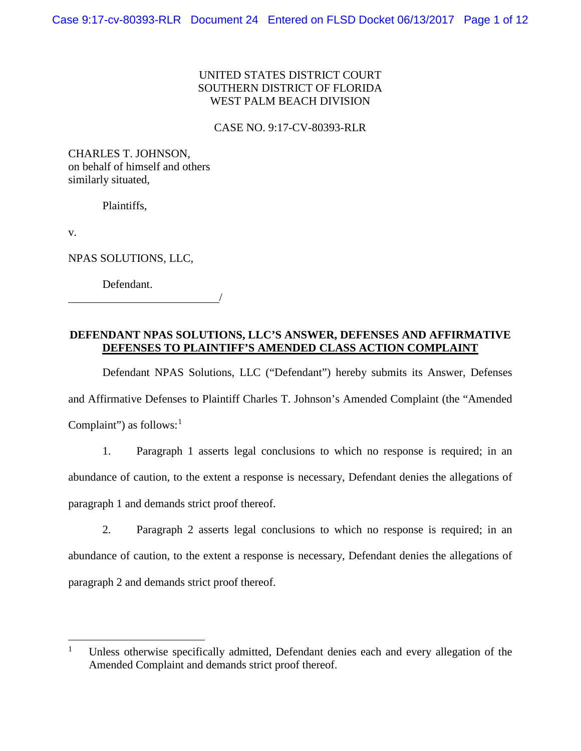# UNITED STATES DISTRICT COURT SOUTHERN DISTRICT OF FLORIDA WEST PALM BEACH DIVISION

## CASE NO. 9:17-CV-80393-RLR

CHARLES T. JOHNSON, on behalf of himself and others similarly situated,

Plaintiffs,

v.

NPAS SOLUTIONS, LLC,

Defendant.

<u>/</u>

# **DEFENDANT NPAS SOLUTIONS, LLC'S ANSWER, DEFENSES AND AFFIRMATIVE DEFENSES TO PLAINTIFF'S AMENDED CLASS ACTION COMPLAINT**

Defendant NPAS Solutions, LLC ("Defendant") hereby submits its Answer, Defenses and Affirmative Defenses to Plaintiff Charles T. Johnson's Amended Complaint (the "Amended Complaint") as follows: $<sup>1</sup>$  $<sup>1</sup>$  $<sup>1</sup>$ </sup>

1. Paragraph 1 asserts legal conclusions to which no response is required; in an abundance of caution, to the extent a response is necessary, Defendant denies the allegations of paragraph 1 and demands strict proof thereof.

2. Paragraph 2 asserts legal conclusions to which no response is required; in an abundance of caution, to the extent a response is necessary, Defendant denies the allegations of paragraph 2 and demands strict proof thereof.

<span id="page-0-0"></span><sup>&</sup>lt;sup>1</sup> Unless otherwise specifically admitted, Defendant denies each and every allegation of the Amended Complaint and demands strict proof thereof.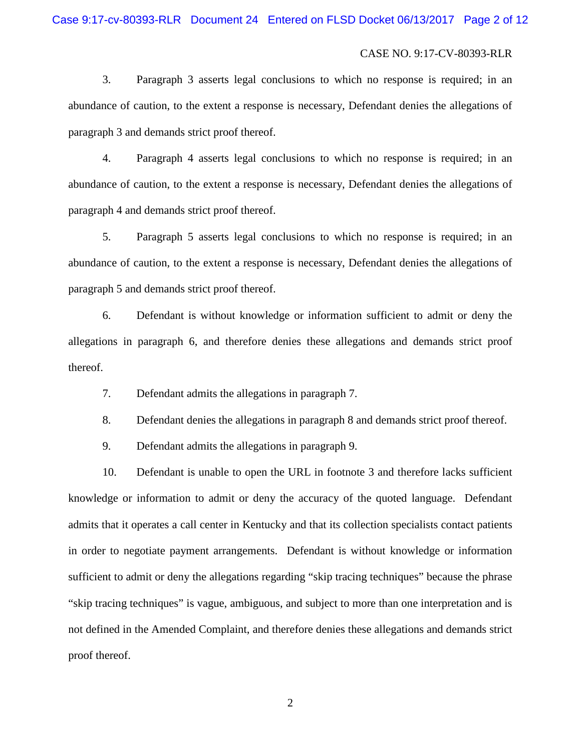3. Paragraph 3 asserts legal conclusions to which no response is required; in an abundance of caution, to the extent a response is necessary, Defendant denies the allegations of paragraph 3 and demands strict proof thereof.

4. Paragraph 4 asserts legal conclusions to which no response is required; in an abundance of caution, to the extent a response is necessary, Defendant denies the allegations of paragraph 4 and demands strict proof thereof.

5. Paragraph 5 asserts legal conclusions to which no response is required; in an abundance of caution, to the extent a response is necessary, Defendant denies the allegations of paragraph 5 and demands strict proof thereof.

6. Defendant is without knowledge or information sufficient to admit or deny the allegations in paragraph 6, and therefore denies these allegations and demands strict proof thereof.

7. Defendant admits the allegations in paragraph 7.

8. Defendant denies the allegations in paragraph 8 and demands strict proof thereof.

9. Defendant admits the allegations in paragraph 9.

10. Defendant is unable to open the URL in footnote 3 and therefore lacks sufficient knowledge or information to admit or deny the accuracy of the quoted language. Defendant admits that it operates a call center in Kentucky and that its collection specialists contact patients in order to negotiate payment arrangements. Defendant is without knowledge or information sufficient to admit or deny the allegations regarding "skip tracing techniques" because the phrase "skip tracing techniques" is vague, ambiguous, and subject to more than one interpretation and is not defined in the Amended Complaint, and therefore denies these allegations and demands strict proof thereof.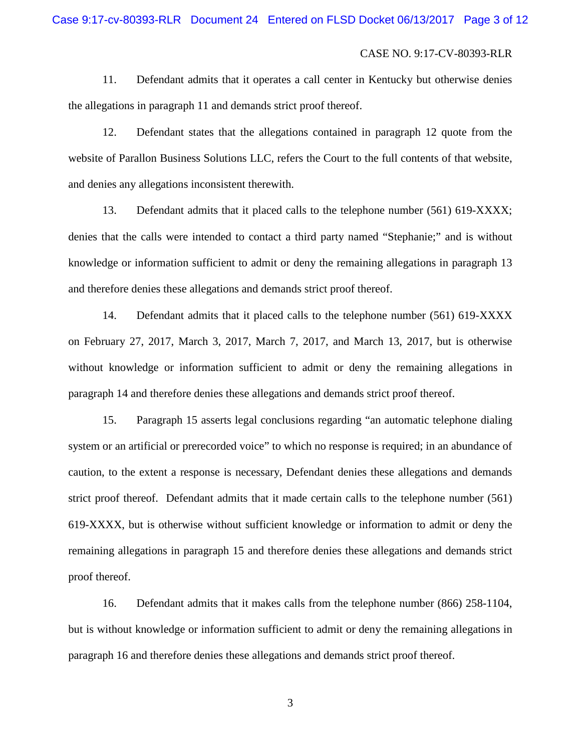11. Defendant admits that it operates a call center in Kentucky but otherwise denies the allegations in paragraph 11 and demands strict proof thereof.

12. Defendant states that the allegations contained in paragraph 12 quote from the website of Parallon Business Solutions LLC, refers the Court to the full contents of that website, and denies any allegations inconsistent therewith.

13. Defendant admits that it placed calls to the telephone number (561) 619-XXXX; denies that the calls were intended to contact a third party named "Stephanie;" and is without knowledge or information sufficient to admit or deny the remaining allegations in paragraph 13 and therefore denies these allegations and demands strict proof thereof.

14. Defendant admits that it placed calls to the telephone number (561) 619-XXXX on February 27, 2017, March 3, 2017, March 7, 2017, and March 13, 2017, but is otherwise without knowledge or information sufficient to admit or deny the remaining allegations in paragraph 14 and therefore denies these allegations and demands strict proof thereof.

15. Paragraph 15 asserts legal conclusions regarding "an automatic telephone dialing system or an artificial or prerecorded voice" to which no response is required; in an abundance of caution, to the extent a response is necessary, Defendant denies these allegations and demands strict proof thereof. Defendant admits that it made certain calls to the telephone number (561) 619-XXXX, but is otherwise without sufficient knowledge or information to admit or deny the remaining allegations in paragraph 15 and therefore denies these allegations and demands strict proof thereof.

16. Defendant admits that it makes calls from the telephone number (866) 258-1104, but is without knowledge or information sufficient to admit or deny the remaining allegations in paragraph 16 and therefore denies these allegations and demands strict proof thereof.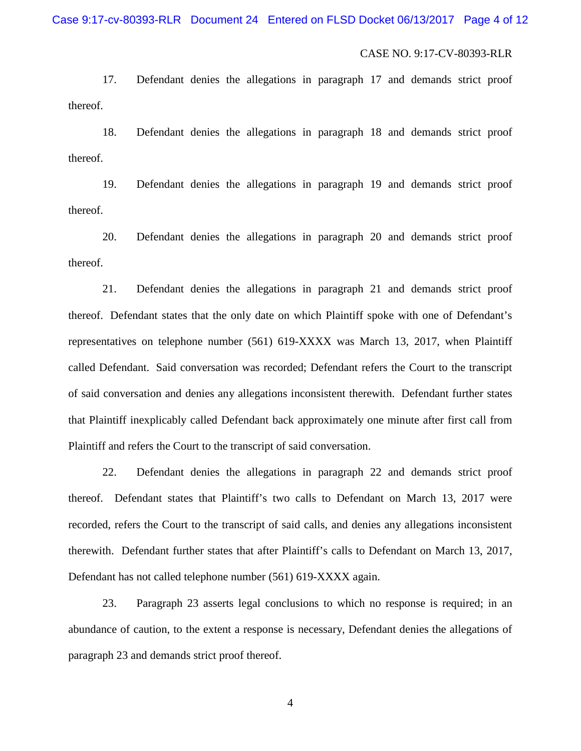17. Defendant denies the allegations in paragraph 17 and demands strict proof thereof.

18. Defendant denies the allegations in paragraph 18 and demands strict proof thereof.

19. Defendant denies the allegations in paragraph 19 and demands strict proof thereof.

20. Defendant denies the allegations in paragraph 20 and demands strict proof thereof.

21. Defendant denies the allegations in paragraph 21 and demands strict proof thereof. Defendant states that the only date on which Plaintiff spoke with one of Defendant's representatives on telephone number (561) 619-XXXX was March 13, 2017, when Plaintiff called Defendant. Said conversation was recorded; Defendant refers the Court to the transcript of said conversation and denies any allegations inconsistent therewith. Defendant further states that Plaintiff inexplicably called Defendant back approximately one minute after first call from Plaintiff and refers the Court to the transcript of said conversation.

22. Defendant denies the allegations in paragraph 22 and demands strict proof thereof. Defendant states that Plaintiff's two calls to Defendant on March 13, 2017 were recorded, refers the Court to the transcript of said calls, and denies any allegations inconsistent therewith. Defendant further states that after Plaintiff's calls to Defendant on March 13, 2017, Defendant has not called telephone number (561) 619-XXXX again.

23. Paragraph 23 asserts legal conclusions to which no response is required; in an abundance of caution, to the extent a response is necessary, Defendant denies the allegations of paragraph 23 and demands strict proof thereof.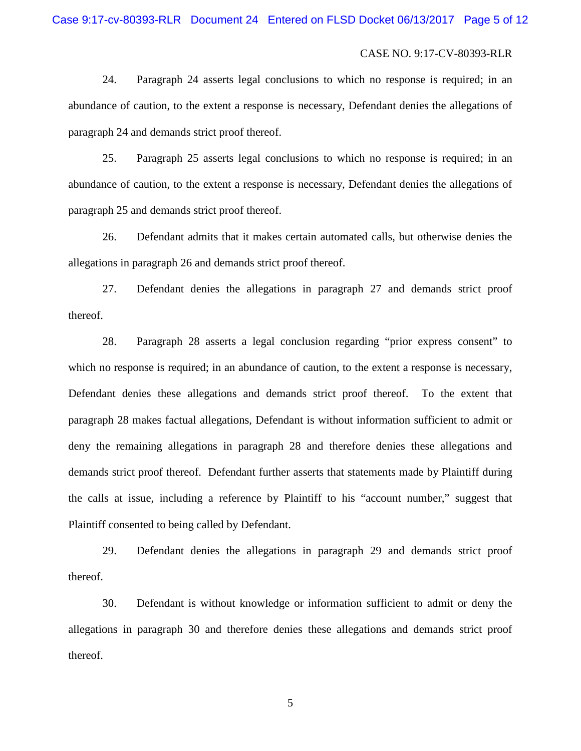24. Paragraph 24 asserts legal conclusions to which no response is required; in an abundance of caution, to the extent a response is necessary, Defendant denies the allegations of paragraph 24 and demands strict proof thereof.

25. Paragraph 25 asserts legal conclusions to which no response is required; in an abundance of caution, to the extent a response is necessary, Defendant denies the allegations of paragraph 25 and demands strict proof thereof.

26. Defendant admits that it makes certain automated calls, but otherwise denies the allegations in paragraph 26 and demands strict proof thereof.

27. Defendant denies the allegations in paragraph 27 and demands strict proof thereof.

28. Paragraph 28 asserts a legal conclusion regarding "prior express consent" to which no response is required; in an abundance of caution, to the extent a response is necessary, Defendant denies these allegations and demands strict proof thereof. To the extent that paragraph 28 makes factual allegations, Defendant is without information sufficient to admit or deny the remaining allegations in paragraph 28 and therefore denies these allegations and demands strict proof thereof. Defendant further asserts that statements made by Plaintiff during the calls at issue, including a reference by Plaintiff to his "account number," suggest that Plaintiff consented to being called by Defendant.

29. Defendant denies the allegations in paragraph 29 and demands strict proof thereof.

30. Defendant is without knowledge or information sufficient to admit or deny the allegations in paragraph 30 and therefore denies these allegations and demands strict proof thereof.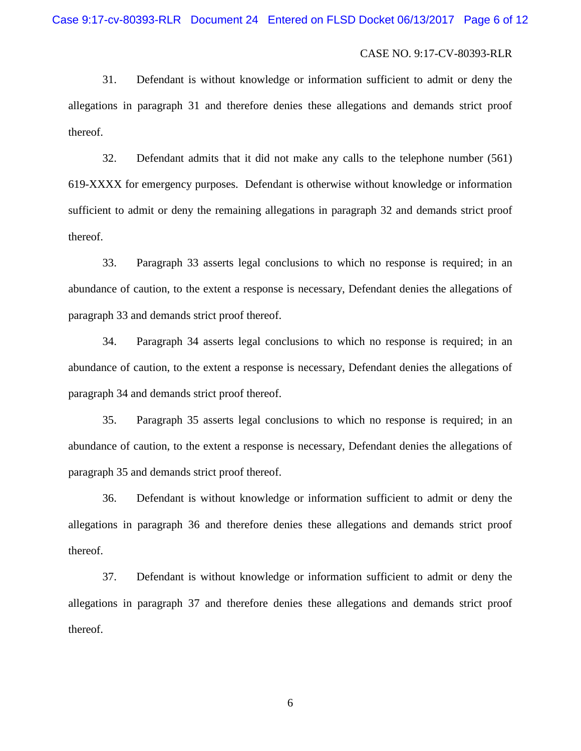31. Defendant is without knowledge or information sufficient to admit or deny the allegations in paragraph 31 and therefore denies these allegations and demands strict proof thereof.

32. Defendant admits that it did not make any calls to the telephone number (561) 619-XXXX for emergency purposes. Defendant is otherwise without knowledge or information sufficient to admit or deny the remaining allegations in paragraph 32 and demands strict proof thereof.

33. Paragraph 33 asserts legal conclusions to which no response is required; in an abundance of caution, to the extent a response is necessary, Defendant denies the allegations of paragraph 33 and demands strict proof thereof.

34. Paragraph 34 asserts legal conclusions to which no response is required; in an abundance of caution, to the extent a response is necessary, Defendant denies the allegations of paragraph 34 and demands strict proof thereof.

35. Paragraph 35 asserts legal conclusions to which no response is required; in an abundance of caution, to the extent a response is necessary, Defendant denies the allegations of paragraph 35 and demands strict proof thereof.

36. Defendant is without knowledge or information sufficient to admit or deny the allegations in paragraph 36 and therefore denies these allegations and demands strict proof thereof.

37. Defendant is without knowledge or information sufficient to admit or deny the allegations in paragraph 37 and therefore denies these allegations and demands strict proof thereof.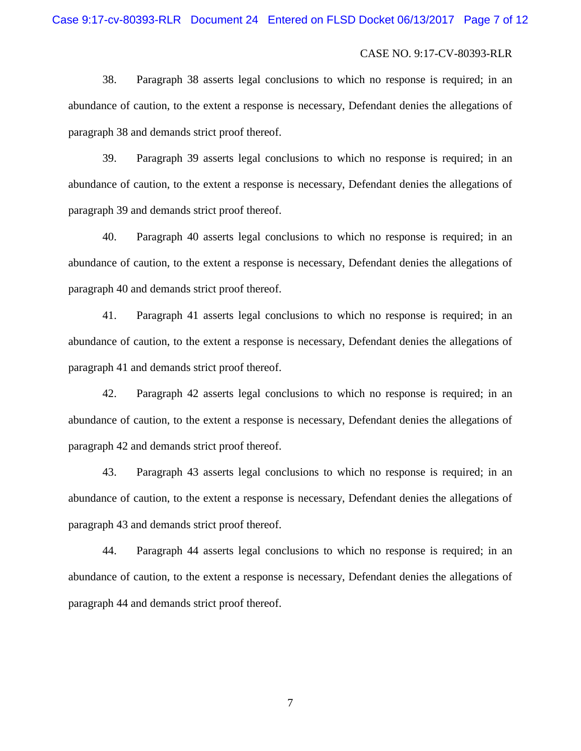38. Paragraph 38 asserts legal conclusions to which no response is required; in an abundance of caution, to the extent a response is necessary, Defendant denies the allegations of paragraph 38 and demands strict proof thereof.

39. Paragraph 39 asserts legal conclusions to which no response is required; in an abundance of caution, to the extent a response is necessary, Defendant denies the allegations of paragraph 39 and demands strict proof thereof.

40. Paragraph 40 asserts legal conclusions to which no response is required; in an abundance of caution, to the extent a response is necessary, Defendant denies the allegations of paragraph 40 and demands strict proof thereof.

41. Paragraph 41 asserts legal conclusions to which no response is required; in an abundance of caution, to the extent a response is necessary, Defendant denies the allegations of paragraph 41 and demands strict proof thereof.

42. Paragraph 42 asserts legal conclusions to which no response is required; in an abundance of caution, to the extent a response is necessary, Defendant denies the allegations of paragraph 42 and demands strict proof thereof.

43. Paragraph 43 asserts legal conclusions to which no response is required; in an abundance of caution, to the extent a response is necessary, Defendant denies the allegations of paragraph 43 and demands strict proof thereof.

44. Paragraph 44 asserts legal conclusions to which no response is required; in an abundance of caution, to the extent a response is necessary, Defendant denies the allegations of paragraph 44 and demands strict proof thereof.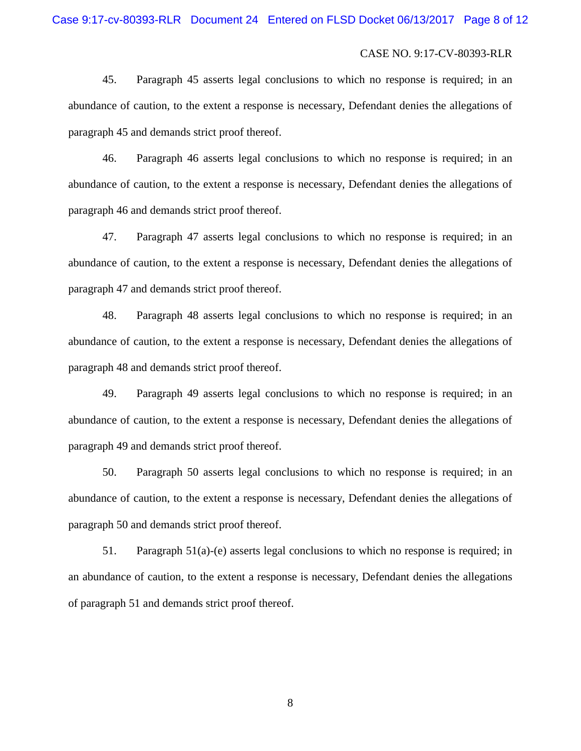45. Paragraph 45 asserts legal conclusions to which no response is required; in an abundance of caution, to the extent a response is necessary, Defendant denies the allegations of paragraph 45 and demands strict proof thereof.

46. Paragraph 46 asserts legal conclusions to which no response is required; in an abundance of caution, to the extent a response is necessary, Defendant denies the allegations of paragraph 46 and demands strict proof thereof.

47. Paragraph 47 asserts legal conclusions to which no response is required; in an abundance of caution, to the extent a response is necessary, Defendant denies the allegations of paragraph 47 and demands strict proof thereof.

48. Paragraph 48 asserts legal conclusions to which no response is required; in an abundance of caution, to the extent a response is necessary, Defendant denies the allegations of paragraph 48 and demands strict proof thereof.

49. Paragraph 49 asserts legal conclusions to which no response is required; in an abundance of caution, to the extent a response is necessary, Defendant denies the allegations of paragraph 49 and demands strict proof thereof.

50. Paragraph 50 asserts legal conclusions to which no response is required; in an abundance of caution, to the extent a response is necessary, Defendant denies the allegations of paragraph 50 and demands strict proof thereof.

51. Paragraph 51(a)-(e) asserts legal conclusions to which no response is required; in an abundance of caution, to the extent a response is necessary, Defendant denies the allegations of paragraph 51 and demands strict proof thereof.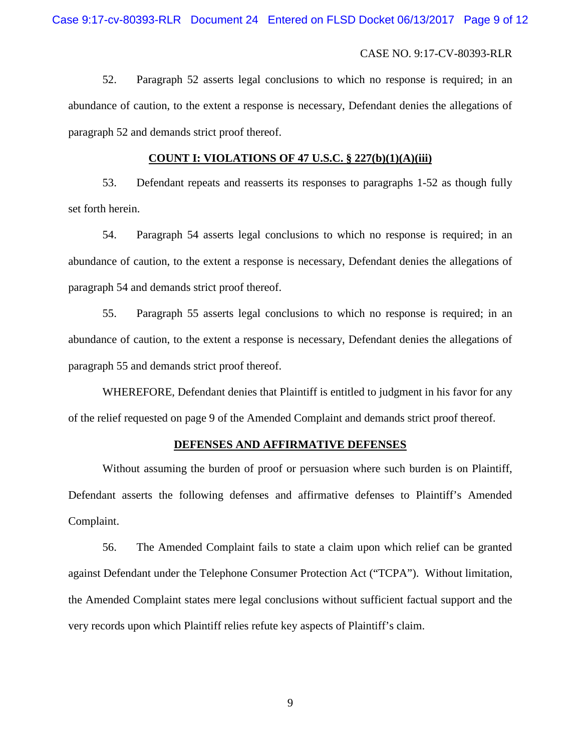Case 9:17-cv-80393-RLR Document 24 Entered on FLSD Docket 06/13/2017 Page 9 of 12

#### CASE NO. 9:17-CV-80393-RLR

52. Paragraph 52 asserts legal conclusions to which no response is required; in an abundance of caution, to the extent a response is necessary, Defendant denies the allegations of paragraph 52 and demands strict proof thereof.

### **COUNT I: VIOLATIONS OF 47 U.S.C. § 227(b)(1)(A)(iii)**

53. Defendant repeats and reasserts its responses to paragraphs 1-52 as though fully set forth herein.

54. Paragraph 54 asserts legal conclusions to which no response is required; in an abundance of caution, to the extent a response is necessary, Defendant denies the allegations of paragraph 54 and demands strict proof thereof.

55. Paragraph 55 asserts legal conclusions to which no response is required; in an abundance of caution, to the extent a response is necessary, Defendant denies the allegations of paragraph 55 and demands strict proof thereof.

WHEREFORE, Defendant denies that Plaintiff is entitled to judgment in his favor for any of the relief requested on page 9 of the Amended Complaint and demands strict proof thereof.

#### **DEFENSES AND AFFIRMATIVE DEFENSES**

Without assuming the burden of proof or persuasion where such burden is on Plaintiff, Defendant asserts the following defenses and affirmative defenses to Plaintiff's Amended Complaint.

56. The Amended Complaint fails to state a claim upon which relief can be granted against Defendant under the Telephone Consumer Protection Act ("TCPA"). Without limitation, the Amended Complaint states mere legal conclusions without sufficient factual support and the very records upon which Plaintiff relies refute key aspects of Plaintiff's claim.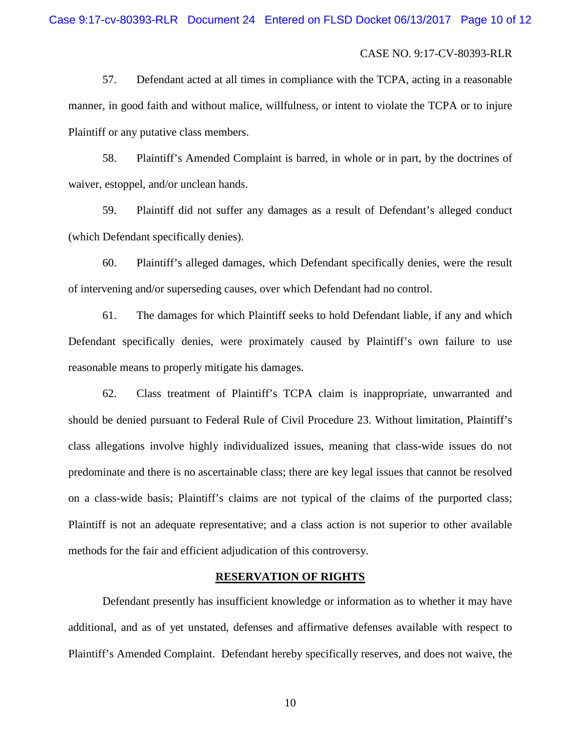57. Defendant acted at all times in compliance with the TCPA, acting in a reasonable manner, in good faith and without malice, willfulness, or intent to violate the TCPA or to injure Plaintiff or any putative class members.

58. Plaintiff's Amended Complaint is barred, in whole or in part, by the doctrines of waiver, estoppel, and/or unclean hands.

59. Plaintiff did not suffer any damages as a result of Defendant's alleged conduct (which Defendant specifically denies).

60. Plaintiff's alleged damages, which Defendant specifically denies, were the result of intervening and/or superseding causes, over which Defendant had no control.

61. The damages for which Plaintiff seeks to hold Defendant liable, if any and which Defendant specifically denies, were proximately caused by Plaintiff's own failure to use reasonable means to properly mitigate his damages.

62. Class treatment of Plaintiff's TCPA claim is inappropriate, unwarranted and should be denied pursuant to Federal Rule of Civil Procedure 23. Without limitation, Plaintiff's class allegations involve highly individualized issues, meaning that class-wide issues do not predominate and there is no ascertainable class; there are key legal issues that cannot be resolved on a class-wide basis; Plaintiff's claims are not typical of the claims of the purported class; Plaintiff is not an adequate representative; and a class action is not superior to other available methods for the fair and efficient adjudication of this controversy.

#### **RESERVATION OF RIGHTS**

Defendant presently has insufficient knowledge or information as to whether it may have additional, and as of yet unstated, defenses and affirmative defenses available with respect to Plaintiff's Amended Complaint. Defendant hereby specifically reserves, and does not waive, the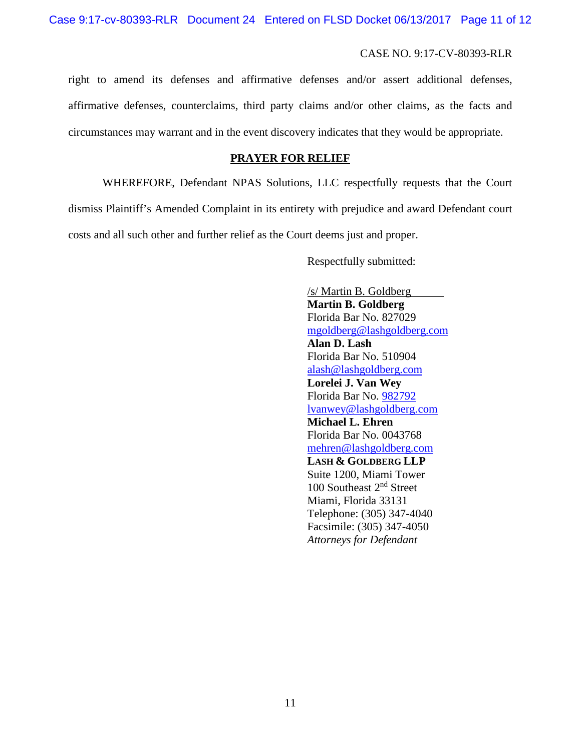Case 9:17-cv-80393-RLR Document 24 Entered on FLSD Docket 06/13/2017 Page 11 of 12

### CASE NO. 9:17-CV-80393-RLR

right to amend its defenses and affirmative defenses and/or assert additional defenses, affirmative defenses, counterclaims, third party claims and/or other claims, as the facts and circumstances may warrant and in the event discovery indicates that they would be appropriate.

## **PRAYER FOR RELIEF**

WHEREFORE, Defendant NPAS Solutions, LLC respectfully requests that the Court dismiss Plaintiff's Amended Complaint in its entirety with prejudice and award Defendant court costs and all such other and further relief as the Court deems just and proper.

Respectfully submitted:

/s/ Martin B. Goldberg **Martin B. Goldberg** Florida Bar No. 827029 [mgoldberg@lashgoldberg.com](mailto:mgoldberg@lashgoldberg.com) **Alan D. Lash** Florida Bar No. 510904 [alash@lashgoldberg.com](mailto:alash@lashgoldberg.com) **Lorelei J. Van Wey** Florida Bar No. 982792 [lvanwey@lashgoldberg.com](mailto:lvanwey@lashgoldberg.com) **Michael L. Ehren** Florida Bar No. 0043768 [mehren@lashgoldberg.com](mailto:mehren@lashgoldberg.com) **LASH & GOLDBERG LLP** Suite 1200, Miami Tower 100 Southeast 2nd Street Miami, Florida 33131 Telephone: (305) 347-4040 Facsimile: (305) 347-4050 *Attorneys for Defendant*